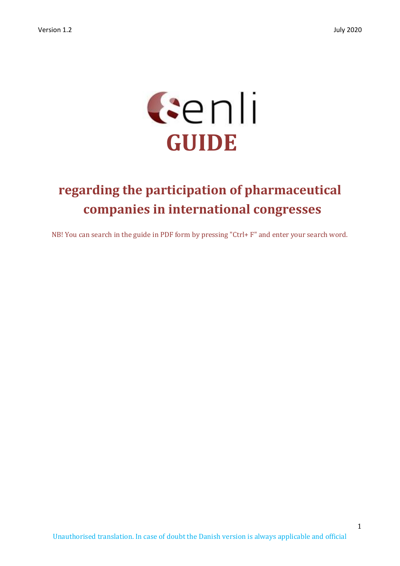

# **regarding the participation of pharmaceutical companies in international congresses**

NB! You can search in the guide in PDF form by pressing "Ctrl+ F" and enter your search word.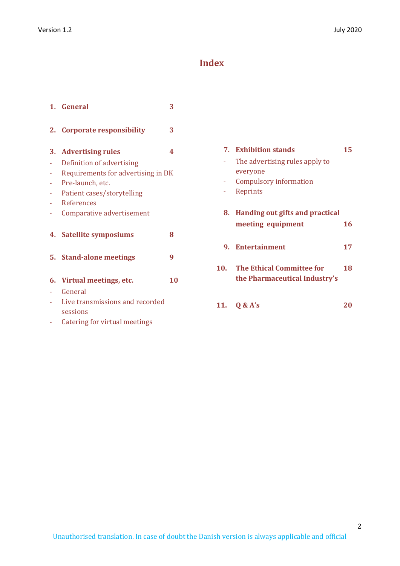# **Index**

|    | 1. General                                  | 3  |
|----|---------------------------------------------|----|
| 2. | <b>Corporate responsibility</b>             | 3  |
|    | 3. Advertising rules                        | 4  |
|    | Definition of advertising                   |    |
|    | Requirements for advertising in DK          |    |
|    | Pre-launch, etc.                            |    |
|    | Patient cases/storytelling                  |    |
|    | References                                  |    |
|    | Comparative advertisement                   |    |
|    | 4. Satellite symposiums                     | 8  |
|    | 5. Stand-alone meetings                     | 9  |
|    | 6. Virtual meetings, etc.                   | 10 |
|    | General                                     |    |
|    | Live transmissions and recorded<br>sessions |    |
|    | Catering for virtual meetings               |    |

|     | <b>7.</b> Exhibition stands<br>The advertising rules apply to<br>everyone | 15 |
|-----|---------------------------------------------------------------------------|----|
|     | Compulsory information<br>Reprints                                        |    |
|     | 8. Handing out gifts and practical<br>meeting equipment                   | 16 |
|     | 9. Entertainment                                                          | 17 |
| 10. | <b>The Ethical Committee for</b><br>the Pharmaceutical Industry's         | 18 |
|     | 11. $0 & A's$                                                             |    |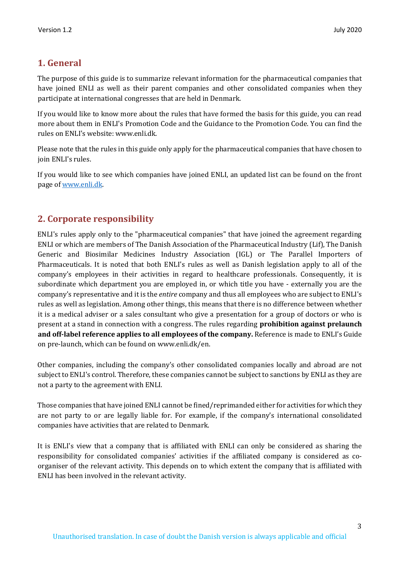# **1. General**

The purpose of this guide is to summarize relevant information for the pharmaceutical companies that have joined ENLI as well as their parent companies and other consolidated companies when they participate at international congresses that are held in Denmark.

If you would like to know more about the rules that have formed the basis for this guide, you can read more about them in ENLI's Promotion Code and the Guidance to the Promotion Code. You can find the rules on ENLI's website: www.enli.dk.

Please note that the rules in this guide only apply for the pharmaceutical companies that have chosen to join ENLI's rules.

If you would like to see which companies have joined ENLI, an updated list can be found on the front page o[f www.enli.dk.](http://www.enli.dk/)

# **2. Corporate responsibility**

ENLI's rules apply only to the "pharmaceutical companies" that have joined the agreement regarding ENLI or which are members of The Danish Association of the Pharmaceutical Industry (Lif), The Danish Generic and Biosimilar Medicines Industry Association (IGL) or The Parallel Importers of Pharmaceuticals. It is noted that both ENLI's rules as well as Danish legislation apply to all of the company's employees in their activities in regard to healthcare professionals. Consequently, it is subordinate which department you are employed in, or which title you have - externally you are the company's representative and it is the *entire* company and thus all employees who are subject to ENLI's rules as well as legislation. Among other things, this means that there is no difference between whether it is a medical adviser or a sales consultant who give a presentation for a group of doctors or who is present at a stand in connection with a congress. The rules regarding **prohibition against prelaunch and off-label reference applies to all employees of the company.** Reference is made to ENLI's Guide on pre-launch, which can be found on www.enli.dk/en.

Other companies, including the company's other consolidated companies locally and abroad are not subject to ENLI's control. Therefore, these companies cannot be subject to sanctions by ENLI as they are not a party to the agreement with ENLI.

Those companies that have joined ENLI cannot be fined/reprimanded either for activities for which they are not party to or are legally liable for. For example, if the company's international consolidated companies have activities that are related to Denmark.

It is ENLI's view that a company that is affiliated with ENLI can only be considered as sharing the responsibility for consolidated companies' activities if the affiliated company is considered as coorganiser of the relevant activity. This depends on to which extent the company that is affiliated with ENLI has been involved in the relevant activity.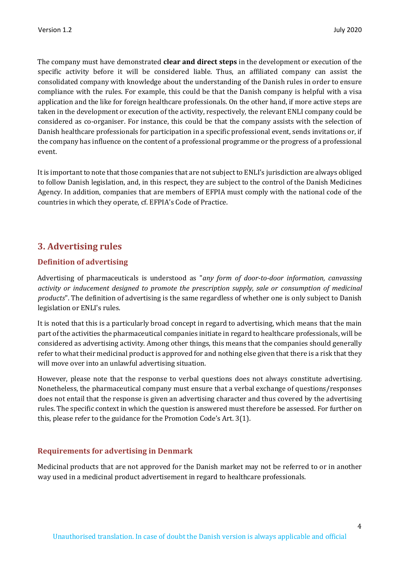The company must have demonstrated **clear and direct steps** in the development or execution of the specific activity before it will be considered liable. Thus, an affiliated company can assist the consolidated company with knowledge about the understanding of the Danish rules in order to ensure compliance with the rules. For example, this could be that the Danish company is helpful with a visa application and the like for foreign healthcare professionals. On the other hand, if more active steps are taken in the development or execution of the activity, respectively, the relevant ENLI company could be considered as co-organiser. For instance, this could be that the company assists with the selection of Danish healthcare professionals for participation in a specific professional event, sends invitations or, if the company has influence on the content of a professional programme or the progress of a professional event.

It is important to note that those companies that are not subject to ENLI's jurisdiction are always obliged to follow Danish legislation, and, in this respect, they are subject to the control of the Danish Medicines Agency. In addition, companies that are members of EFPIA must comply with the national code of the countries in which they operate, cf. EFPIA's Code of Practice.

# **3. Advertising rules**

# **Definition of advertising**

Advertising of pharmaceuticals is understood as "*any form of door-to-door information, canvassing activity or inducement designed to promote the prescription supply, sale or consumption of medicinal products*". The definition of advertising is the same regardless of whether one is only subject to Danish legislation or ENLI's rules.

It is noted that this is a particularly broad concept in regard to advertising, which means that the main part of the activities the pharmaceutical companies initiate in regard to healthcare professionals, will be considered as advertising activity. Among other things, this means that the companies should generally refer to what their medicinal product is approved for and nothing else given that there is a risk that they will move over into an unlawful advertising situation.

However, please note that the response to verbal questions does not always constitute advertising. Nonetheless, the pharmaceutical company must ensure that a verbal exchange of questions/responses does not entail that the response is given an advertising character and thus covered by the advertising rules. The specific context in which the question is answered must therefore be assessed. For further on this, please refer to the guidance for the Promotion Code's Art. 3(1).

#### **Requirements for advertising in Denmark**

Medicinal products that are not approved for the Danish market may not be referred to or in another way used in a medicinal product advertisement in regard to healthcare professionals.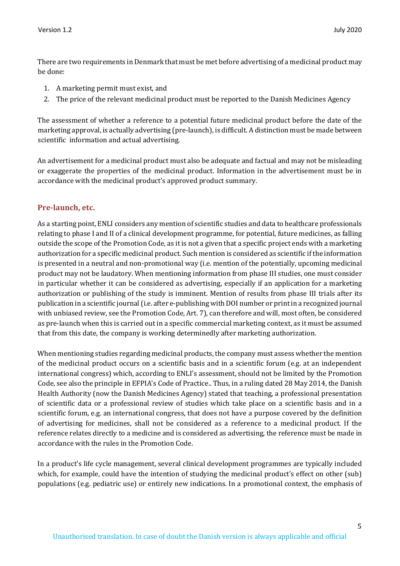There are two requirements in Denmark that must be met before advertising of a medicinal product may be done:

- 1. A marketing permit must exist, and
- 2. The price of the relevant medicinal product must be reported to the Danish Medicines Agency

The assessment of whether a reference to a potential future medicinal product before the date of the marketing approval, is actually advertising (pre-launch), is difficult. A distinction must be made between scientific information and actual advertising.

An advertisement for a medicinal product must also be adequate and factual and may not be misleading or exaggerate the properties of the medicinal product. Information in the advertisement must be in accordance with the medicinal product's approved product summary.

# **Pre-launch, etc.**

As a starting point, ENLI considers any mention of scientific studies and data to healthcare professionals relating to phase I and II of a clinical development programme, for potential, future medicines, as falling outside the scope of the Promotion Code, as it is not a given that a specific project ends with a marketing authorization for a specific medicinal product. Such mention is considered as scientific if the information is presented in a neutral and non-promotional way (i.e. mention of the potentially, upcoming medicinal product may not be laudatory. When mentioning information from phase III studies, one must consider in particular whether it can be considered as advertising, especially if an application for a marketing authorization or publishing of the study is imminent. Mention of results from phase III trials after its publication in a scientific journal (i.e. after e-publishing with DOI number or print in a recognized journal with unbiased review, see the Promotion Code, Art. 7), can therefore and will, most often, be considered as pre-launch when this is carried out in a specific commercial marketing context, as it must be assumed that from this date, the company is working determinedly after marketing authorization.

When mentioning studies regarding medicinal products, the company must assess whether the mention of the medicinal product occurs on a scientific basis and in a scientific forum (e.g. at an independent international congress) which, according to ENLI's assessment, should not be limited by the Promotion Code, see also the principle in EFPIA's Code of Practice.. Thus, in a ruling dated 28 May 2014, the Danish Health Authority (now the Danish Medicines Agency) stated that teaching, a professional presentation of scientific data or a professional review of studies which take place on a scientific basis and in a scientific forum, e.g. an international congress, that does not have a purpose covered by the definition of advertising for medicines, shall not be considered as a reference to a medicinal product. If the reference relates directly to a medicine and is considered as advertising, the reference must be made in accordance with the rules in the Promotion Code.

In a product's life cycle management, several clinical development programmes are typically included which, for example, could have the intention of studying the medicinal product's effect on other (sub) populations (e.g. pediatric use) or entirely new indications. In a promotional context, the emphasis of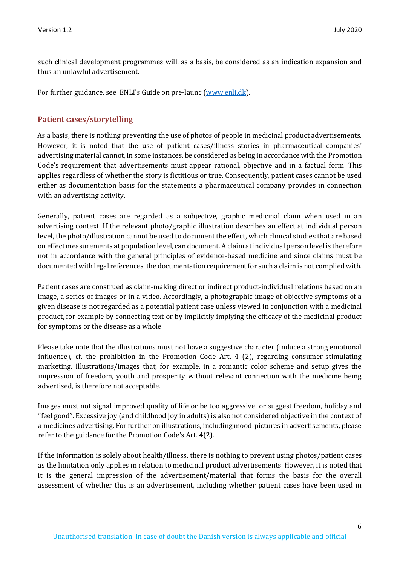such clinical development programmes will, as a basis, be considered as an indication expansion and thus an unlawful advertisement.

For further guidance, see ENLI's Guide on pre-launc [\(www.enli.dk\).](http://www.enli.dk/)

## **Patient cases/storytelling**

As a basis, there is nothing preventing the use of photos of people in medicinal product advertisements. However, it is noted that the use of patient cases/illness stories in pharmaceutical companies' advertising material cannot, in some instances, be considered as being in accordance with the Promotion Code's requirement that advertisements must appear rational, objective and in a factual form. This applies regardless of whether the story is fictitious or true. Consequently, patient cases cannot be used either as documentation basis for the statements a pharmaceutical company provides in connection with an advertising activity.

Generally, patient cases are regarded as a subjective, graphic medicinal claim when used in an advertising context. If the relevant photo/graphic illustration describes an effect at individual person level, the photo/illustration cannot be used to document the effect, which clinical studies that are based on effect measurements at population level, can document. A claim at individual person level is therefore not in accordance with the general principles of evidence-based medicine and since claims must be documented with legal references, the documentation requirement for such a claim is not complied with.

Patient cases are construed as claim-making direct or indirect product-individual relations based on an image, a series of images or in a video. Accordingly, a photographic image of objective symptoms of a given disease is not regarded as a potential patient case unless viewed in conjunction with a medicinal product, for example by connecting text or by implicitly implying the efficacy of the medicinal product for symptoms or the disease as a whole.

Please take note that the illustrations must not have a suggestive character (induce a strong emotional influence), cf. the prohibition in the Promotion Code Art. 4 (2), regarding consumer-stimulating marketing. Illustrations/images that, for example, in a romantic color scheme and setup gives the impression of freedom, youth and prosperity without relevant connection with the medicine being advertised, is therefore not acceptable.

Images must not signal improved quality of life or be too aggressive, or suggest freedom, holiday and "feel good". Excessive joy (and childhood joy in adults) is also not considered objective in the context of a medicines advertising. For further on illustrations, including mood-pictures in advertisements, please refer to the guidance for the Promotion Code's Art. 4(2).

If the information is solely about health/illness, there is nothing to prevent using photos/patient cases as the limitation only applies in relation to medicinal product advertisements. However, it is noted that it is the general impression of the advertisement/material that forms the basis for the overall assessment of whether this is an advertisement, including whether patient cases have been used in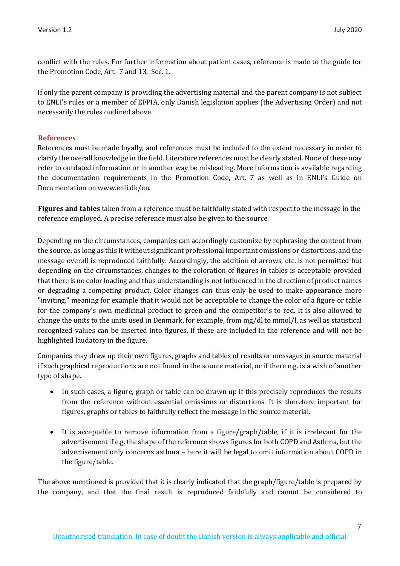conflict with the rules. For further information about patient cases, reference is made to the guide for the Promotion Code, Art. 7 and 13, Sec. 1.

If only the parent company is providing the advertising material and the parent company is not subject to ENLI's rules or a member of EFPIA, only Danish legislation applies (the Advertising Order) and not necessarily the rules outlined above.

#### **References**

References must be made loyally, and references must be included to the extent necessary in order to clarify the overall knowledge in the field. Literature references must be clearly stated. None of these may refer to outdated information or in another way be misleading. More information is available regarding the documentation requirements in the Promotion Code, Art. 7 as well as in ENLI's Guide on Documentation on www.enli.dk/en.

**Figures and tables** taken from a reference must be faithfully stated with respect to the message in the reference employed. A precise reference must also be given to the source.

Depending on the circumstances, companies can accordingly customize by rephrasing the content from the source, as long as this it without significant professional important omissions or distortions, and the message overall is reproduced faithfully. Accordingly, the addition of arrows, etc. is not permitted but depending on the circumstances, changes to the coloration of figures in tables is acceptable provided that there is no color loading and thus understanding is not influenced in the direction of product names or degrading a competing product. Color changes can thus only be used to make appearance more "inviting," meaning for example that it would not be acceptable to change the color of a figure or table for the company's own medicinal product to green and the competitor's to red. It is also allowed to change the units to the units used in Denmark, for example, from mg/dl to mmol/l, as well as statistical recognized values can be inserted into figures, if these are included in the reference and will not be highlighted laudatory in the figure.

Companies may draw up their own figures, graphs and tables of results or messages in source material if such graphical reproductions are not found in the source material, or if there e.g. is a wish of another type of shape.

- In such cases, a figure, graph or table can be drawn up if this precisely reproduces the results from the reference without essential omissions or distortions. It is therefore important for figures, graphs or tables to faithfully reflect the message in the source material.
- It is acceptable to remove information from a figure/graph/table, if it is irrelevant for the advertisement if e.g. the shape of the reference shows figures for both COPD and Asthma, but the advertisement only concerns asthma – here it will be legal to omit information about COPD in the figure/table.

The above mentioned is provided that it is clearly indicated that the graph/figure/table is prepared by the company, and that the final result is reproduced faithfully and cannot be considered to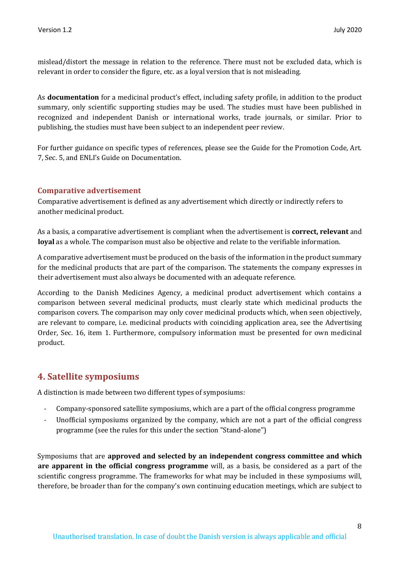mislead/distort the message in relation to the reference. There must not be excluded data, which is relevant in order to consider the figure, etc. as a loyal version that is not misleading.

As **documentation** for a medicinal product's effect, including safety profile, in addition to the product summary, only scientific supporting studies may be used. The studies must have been published in recognized and independent Danish or international works, trade journals, or similar. Prior to publishing, the studies must have been subject to an independent peer review.

For further guidance on specific types of references, please see the Guide for the Promotion Code, Art. 7, Sec. 5, and ENLI's Guide on Documentation.

## **Comparative advertisement**

Comparative advertisement is defined as any advertisement which directly or indirectly refers to another medicinal product.

As a basis, a comparative advertisement is compliant when the advertisement is **correct, relevant** and **loyal** as a whole. The comparison must also be objective and relate to the verifiable information.

A comparative advertisement must be produced on the basis of the information in the product summary for the medicinal products that are part of the comparison. The statements the company expresses in their advertisement must also always be documented with an adequate reference.

According to the Danish Medicines Agency, a medicinal product advertisement which contains a comparison between several medicinal products, must clearly state which medicinal products the comparison covers. The comparison may only cover medicinal products which, when seen objectively, are relevant to compare, i.e. medicinal products with coinciding application area, see the Advertising Order, Sec. 16, item 1. Furthermore, compulsory information must be presented for own medicinal product.

# **4. Satellite symposiums**

A distinction is made between two different types of symposiums:

- Company-sponsored satellite symposiums, which are a part of the official congress programme
- Unofficial symposiums organized by the company, which are not a part of the official congress programme (see the rules for this under the section "Stand-alone")

Symposiums that are **approved and selected by an independent congress committee and which are apparent in the official congress programme** will, as a basis, be considered as a part of the scientific congress programme. The frameworks for what may be included in these symposiums will, therefore, be broader than for the company's own continuing education meetings, which are subject to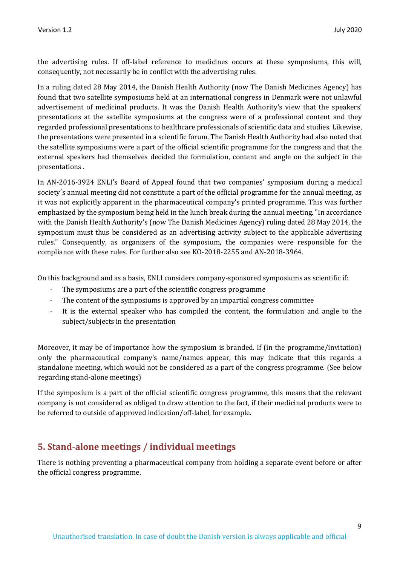the advertising rules. If off-label reference to medicines occurs at these symposiums, this will, consequently, not necessarily be in conflict with the advertising rules.

In a ruling dated 28 May 2014, the Danish Health Authority (now The Danish Medicines Agency) has found that two satellite symposiums held at an international congress in Denmark were not unlawful advertisement of medicinal products. It was the Danish Health Authority's view that the speakers' presentations at the satellite symposiums at the congress were of a professional content and they regarded professional presentations to healthcare professionals of scientific data and studies. Likewise, the presentations were presented in a scientific forum. The Danish Health Authority had also noted that the satellite symposiums were a part of the official scientific programme for the congress and that the external speakers had themselves decided the formulation, content and angle on the subject in the presentations .

In AN-2016-3924 ENLI's Board of Appeal found that two companies' symposium during a medical society´s annual meeting did not constitute a part of the official programme for the annual meeting, as it was not explicitly apparent in the pharmaceutical company's printed programme. This was further emphasized by the symposium being held in the lunch break during the annual meeting. "In accordance with the Danish Health Authority's (now The Danish Medicines Agency) ruling dated 28 May 2014, the symposium must thus be considered as an advertising activity subject to the applicable advertising rules." Consequently, as organizers of the symposium, the companies were responsible for the compliance with these rules. For further also see KO-2018-2255 and AN-2018-3964.

On this background and as a basis, ENLI considers company-sponsored symposiums as scientific if:

- The symposiums are a part of the scientific congress programme
- The content of the symposiums is approved by an impartial congress committee
- It is the external speaker who has compiled the content, the formulation and angle to the subject/subjects in the presentation

Moreover, it may be of importance how the symposium is branded. If (in the programme/invitation) only the pharmaceutical company's name/names appear, this may indicate that this regards a standalone meeting, which would not be considered as a part of the congress programme. (See below regarding stand-alone meetings)

If the symposium is a part of the official scientific congress programme, this means that the relevant company is not considered as obliged to draw attention to the fact, if their medicinal products were to be referred to outside of approved indication/off-label, for example.

# **5. Stand-alone meetings / individual meetings**

There is nothing preventing a pharmaceutical company from holding a separate event before or after the official congress programme.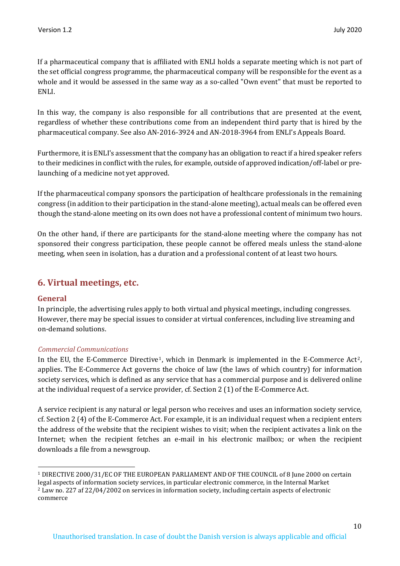If a pharmaceutical company that is affiliated with ENLI holds a separate meeting which is not part of the set official congress programme, the pharmaceutical company will be responsible for the event as a whole and it would be assessed in the same way as a so-called "Own event" that must be reported to ENLI.

In this way, the company is also responsible for all contributions that are presented at the event, regardless of whether these contributions come from an independent third party that is hired by the pharmaceutical company. See also AN-2016-3924 and AN-2018-3964 from ENLI's Appeals Board.

Furthermore, it is ENLI's assessment that the company has an obligation to react if a hired speaker refers to their medicines in conflict with the rules, for example, outside of approved indication/off-label or prelaunching of a medicine not yet approved.

If the pharmaceutical company sponsors the participation of healthcare professionals in the remaining congress (in addition to their participation in the stand-alone meeting), actual meals can be offered even though the stand-alone meeting on its own does not have a professional content of minimum two hours.

On the other hand, if there are participants for the stand-alone meeting where the company has not sponsored their congress participation, these people cannot be offered meals unless the stand-alone meeting, when seen in isolation, has a duration and a professional content of at least two hours.

# **6. Virtual meetings, etc.**

## **General**

In principle, the advertising rules apply to both virtual and physical meetings, including congresses. However, there may be special issues to consider at virtual conferences, including live streaming and on-demand solutions.

## *Commercial Communications*

In the EU, the E-Commerce Directive<sup>1</sup>, which in Denmark is implemented in the E-Commerce Act<sup>2</sup>, applies. The E-Commerce Act governs the choice of law (the laws of which country) for information society services, which is defined as any service that has a commercial purpose and is delivered online at the individual request of a service provider, cf. Section 2 (1) of the E-Commerce Act.

A service recipient is any natural or legal person who receives and uses an information society service, cf. Section 2 (4) of the E-Commerce Act. For example, it is an individual request when a recipient enters the address of the website that the recipient wishes to visit; when the recipient activates a link on the Internet; when the recipient fetches an e-mail in his electronic mailbox; or when the recipient downloads a file from a newsgroup.

<sup>1</sup> DIRECTIVE 2000/31/EC OF THE EUROPEAN PARLIAMENT AND OF THE COUNCIL of 8 June 2000 on certain legal aspects of information society services, in particular electronic commerce, in the Internal Market <sup>2</sup> Law no. 227 af 22/04/2002 on services in information society, including certain aspects of electronic commerce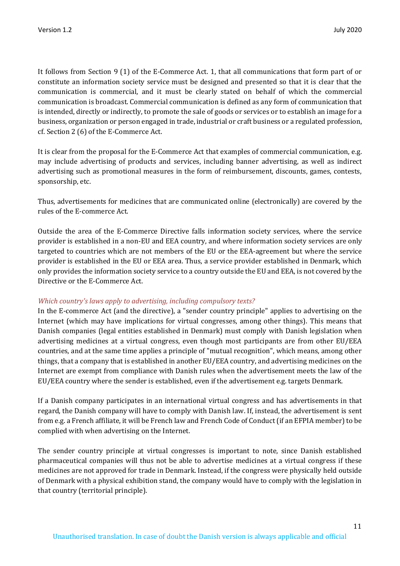It follows from Section 9 (1) of the E-Commerce Act. 1, that all communications that form part of or constitute an information society service must be designed and presented so that it is clear that the communication is commercial, and it must be clearly stated on behalf of which the commercial communication is broadcast. Commercial communication is defined as any form of communication that is intended, directly or indirectly, to promote the sale of goods or services or to establish an image for a business, organization or person engaged in trade, industrial or craft business or a regulated profession, cf. Section 2 (6) of the E-Commerce Act.

It is clear from the proposal for the E-Commerce Act that examples of commercial communication, e.g. may include advertising of products and services, including banner advertising, as well as indirect advertising such as promotional measures in the form of reimbursement, discounts, games, contests, sponsorship, etc.

Thus, advertisements for medicines that are communicated online (electronically) are covered by the rules of the E-commerce Act.

Outside the area of the E-Commerce Directive falls information society services, where the service provider is established in a non-EU and EEA country, and where information society services are only targeted to countries which are not members of the EU or the EEA-agreement but where the service provider is established in the EU or EEA area. Thus, a service provider established in Denmark, which only provides the information society service to a country outside the EU and EEA, is not covered by the Directive or the E-Commerce Act.

#### *Which country's laws apply to advertising, including compulsory texts?*

In the E-commerce Act (and the directive), a "sender country principle" applies to advertising on the Internet (which may have implications for virtual congresses, among other things). This means that Danish companies (legal entities established in Denmark) must comply with Danish legislation when advertising medicines at a virtual congress, even though most participants are from other EU/EEA countries, and at the same time applies a principle of "mutual recognition", which means, among other things, that a company that is established in another EU/EEA country, and advertising medicines on the Internet are exempt from compliance with Danish rules when the advertisement meets the law of the EU/EEA country where the sender is established, even if the advertisement e.g. targets Denmark.

If a Danish company participates in an international virtual congress and has advertisements in that regard, the Danish company will have to comply with Danish law. If, instead, the advertisement is sent from e.g. a French affiliate, it will be French law and French Code of Conduct (if an EFPIA member) to be complied with when advertising on the Internet.

The sender country principle at virtual congresses is important to note, since Danish established pharmaceutical companies will thus not be able to advertise medicines at a virtual congress if these medicines are not approved for trade in Denmark. Instead, if the congress were physically held outside of Denmark with a physical exhibition stand, the company would have to comply with the legislation in that country (territorial principle).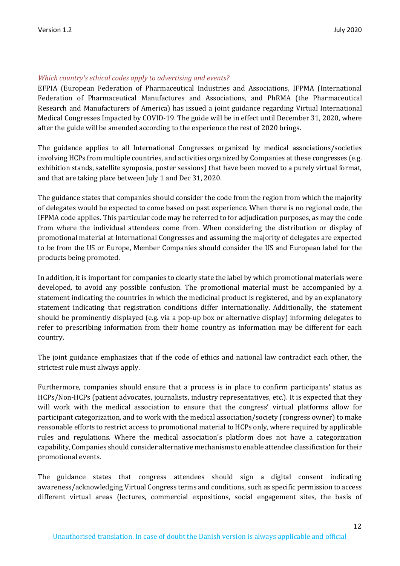## *Which country's ethical codes apply to advertising and events?*

EFPIA (European Federation of Pharmaceutical Industries and Associations, IFPMA (International Federation of Pharmaceutical Manufactures and Associations, and PhRMA (the Pharmaceutical Research and Manufacturers of America) has issued a joint guidance regarding Virtual International Medical Congresses Impacted by COVID-19. The guide will be in effect until December 31, 2020, where after the guide will be amended according to the experience the rest of 2020 brings.

The guidance applies to all International Congresses organized by medical associations/societies involving HCPs from multiple countries, and activities organized by Companies at these congresses (e.g. exhibition stands, satellite symposia, poster sessions) that have been moved to a purely virtual format, and that are taking place between July 1 and Dec 31, 2020.

The guidance states that companies should consider the code from the region from which the majority of delegates would be expected to come based on past experience. When there is no regional code, the IFPMA code applies. This particular code may be referred to for adjudication purposes, as may the code from where the individual attendees come from. When considering the distribution or display of promotional material at International Congresses and assuming the majority of delegates are expected to be from the US or Europe, Member Companies should consider the US and European label for the products being promoted.

In addition, it is important for companies to clearly state the label by which promotional materials were developed, to avoid any possible confusion. The promotional material must be accompanied by a statement indicating the countries in which the medicinal product is registered, and by an explanatory statement indicating that registration conditions differ internationally. Additionally, the statement should be prominently displayed (e.g. via a pop-up box or alternative display) informing delegates to refer to prescribing information from their home country as information may be different for each country.

The joint guidance emphasizes that if the code of ethics and national law contradict each other, the strictest rule must always apply.

Furthermore, companies should ensure that a process is in place to confirm participants' status as HCPs/Non-HCPs (patient advocates, journalists, industry representatives, etc.). It is expected that they will work with the medical association to ensure that the congress' virtual platforms allow for participant categorization, and to work with the medical association/society (congress owner) to make reasonable efforts to restrict access to promotional material to HCPs only, where required by applicable rules and regulations. Where the medical association's platform does not have a categorization capability, Companies should consider alternative mechanisms to enable attendee classification for their promotional events.

The guidance states that congress attendees should sign a digital consent indicating awareness/acknowledging Virtual Congress terms and conditions, such as specific permission to access different virtual areas (lectures, commercial expositions, social engagement sites, the basis of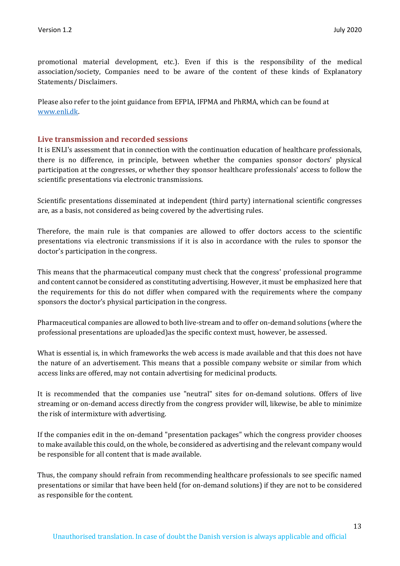promotional material development, etc.). Even if this is the responsibility of the medical association/society, Companies need to be aware of the content of these kinds of Explanatory Statements/ Disclaimers.

Please also refer to the joint guidance from EFPIA, IFPMA and PhRMA, which can be found at [www.enli.dk.](http://www.enli.dk/)

## **Live transmission and recorded sessions**

It is ENLI's assessment that in connection with the continuation education of healthcare professionals, there is no difference, in principle, between whether the companies sponsor doctors' physical participation at the congresses, or whether they sponsor healthcare professionals' access to follow the scientific presentations via electronic transmissions.

Scientific presentations disseminated at independent (third party) international scientific congresses are, as a basis, not considered as being covered by the advertising rules.

Therefore, the main rule is that companies are allowed to offer doctors access to the scientific presentations via electronic transmissions if it is also in accordance with the rules to sponsor the doctor's participation in the congress.

This means that the pharmaceutical company must check that the congress' professional programme and content cannot be considered as constituting advertising. However, it must be emphasized here that the requirements for this do not differ when compared with the requirements where the company sponsors the doctor's physical participation in the congress.

Pharmaceutical companies are allowed to both live-stream and to offer on-demand solutions (where the professional presentations are uploaded)as the specific context must, however, be assessed.

What is essential is, in which frameworks the web access is made available and that this does not have the nature of an advertisement. This means that a possible company website or similar from which access links are offered, may not contain advertising for medicinal products.

It is recommended that the companies use "neutral" sites for on-demand solutions. Offers of live streaming or on-demand access directly from the congress provider will, likewise, be able to minimize the risk of intermixture with advertising.

If the companies edit in the on-demand "presentation packages" which the congress provider chooses to make available this could, on the whole, be considered as advertising and the relevant company would be responsible for all content that is made available.

Thus, the company should refrain from recommending healthcare professionals to see specific named presentations or similar that have been held (for on-demand solutions) if they are not to be considered as responsible for the content.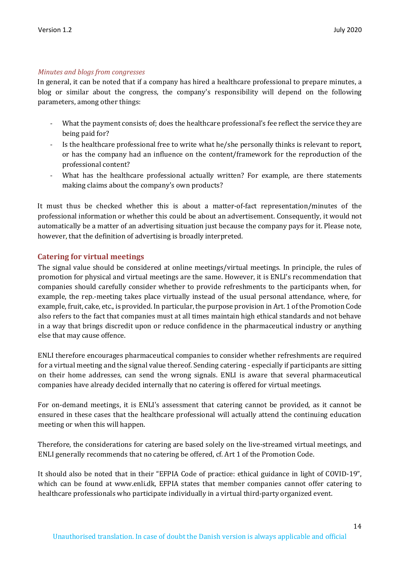#### *Minutes and blogs from congresses*

In general, it can be noted that if a company has hired a healthcare professional to prepare minutes, a blog or similar about the congress, the company's responsibility will depend on the following parameters, among other things:

- What the payment consists of; does the healthcare professional's fee reflect the service they are being paid for?
- Is the healthcare professional free to write what he/she personally thinks is relevant to report, or has the company had an influence on the content/framework for the reproduction of the professional content?
- What has the healthcare professional actually written? For example, are there statements making claims about the company's own products?

It must thus be checked whether this is about a matter-of-fact representation/minutes of the professional information or whether this could be about an advertisement. Consequently, it would not automatically be a matter of an advertising situation just because the company pays for it. Please note, however, that the definition of advertising is broadly interpreted.

#### **Catering for virtual meetings**

The signal value should be considered at online meetings/virtual meetings. In principle, the rules of promotion for physical and virtual meetings are the same. However, it is ENLI's recommendation that companies should carefully consider whether to provide refreshments to the participants when, for example, the rep.-meeting takes place virtually instead of the usual personal attendance, where, for example, fruit, cake, etc., is provided. In particular, the purpose provision in Art. 1 of the Promotion Code also refers to the fact that companies must at all times maintain high ethical standards and not behave in a way that brings discredit upon or reduce confidence in the pharmaceutical industry or anything else that may cause offence.

ENLI therefore encourages pharmaceutical companies to consider whether refreshments are required for a virtual meeting and the signal value thereof. Sending catering - especially if participants are sitting on their home addresses, can send the wrong signals. ENLI is aware that several pharmaceutical companies have already decided internally that no catering is offered for virtual meetings.

For on-demand meetings, it is ENLI's assessment that catering cannot be provided, as it cannot be ensured in these cases that the healthcare professional will actually attend the continuing education meeting or when this will happen.

Therefore, the considerations for catering are based solely on the live-streamed virtual meetings, and ENLI generally recommends that no catering be offered, cf. Art 1 of the Promotion Code.

It should also be noted that in their "EFPIA Code of practice: ethical guidance in light of COVID-19", which can be found at www.enli.dk, EFPIA states that member companies cannot offer catering to healthcare professionals who participate individually in a virtual third-party organized event.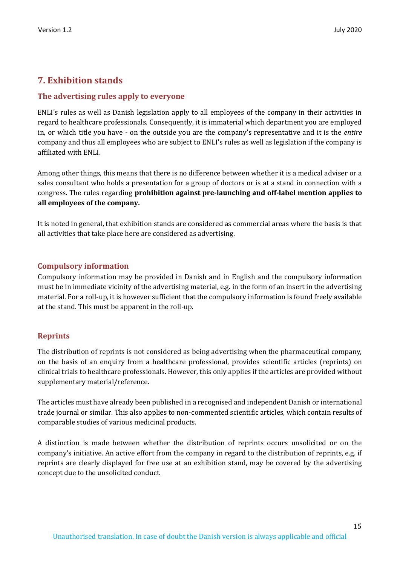# **7. Exhibition stands**

## **The advertising rules apply to everyone**

ENLI's rules as well as Danish legislation apply to all employees of the company in their activities in regard to healthcare professionals. Consequently, it is immaterial which department you are employed in, or which title you have - on the outside you are the company's representative and it is the *entire* company and thus all employees who are subject to ENLI's rules as well as legislation if the company is affiliated with ENLI.

Among other things, this means that there is no difference between whether it is a medical adviser or a sales consultant who holds a presentation for a group of doctors or is at a stand in connection with a congress. The rules regarding **prohibition against pre-launching and off-label mention applies to all employees of the company.**

It is noted in general, that exhibition stands are considered as commercial areas where the basis is that all activities that take place here are considered as advertising.

## **Compulsory information**

Compulsory information may be provided in Danish and in English and the compulsory information must be in immediate vicinity of the advertising material, e.g. in the form of an insert in the advertising material. For a roll-up, it is however sufficient that the compulsory information is found freely available at the stand. This must be apparent in the roll-up.

## **Reprints**

The distribution of reprints is not considered as being advertising when the pharmaceutical company, on the basis of an enquiry from a healthcare professional, provides scientific articles (reprints) on clinical trials to healthcare professionals. However, this only applies if the articles are provided without supplementary material/reference.

The articles must have already been published in a recognised and independent Danish or international trade journal or similar. This also applies to non-commented scientific articles, which contain results of comparable studies of various medicinal products.

A distinction is made between whether the distribution of reprints occurs unsolicited or on the company's initiative. An active effort from the company in regard to the distribution of reprints, e.g. if reprints are clearly displayed for free use at an exhibition stand, may be covered by the advertising concept due to the unsolicited conduct.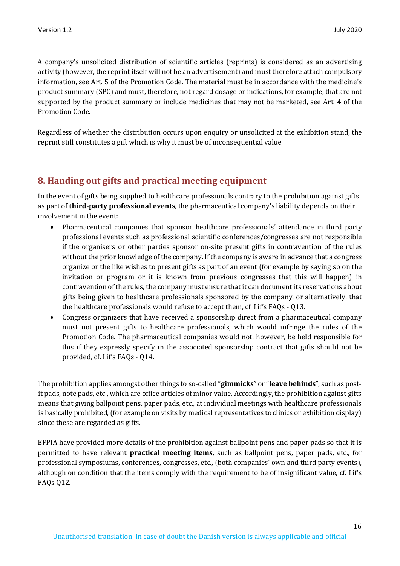A company's unsolicited distribution of scientific articles (reprints) is considered as an advertising activity (however, the reprint itself will not be an advertisement) and must therefore attach compulsory information, see Art. 5 of the Promotion Code. The material must be in accordance with the medicine's product summary (SPC) and must, therefore, not regard dosage or indications, for example, that are not supported by the product summary or include medicines that may not be marketed, see Art. 4 of the Promotion Code.

Regardless of whether the distribution occurs upon enquiry or unsolicited at the exhibition stand, the reprint still constitutes a gift which is why it must be of inconsequential value.

# **8. Handing out gifts and practical meeting equipment**

In the event of gifts being supplied to healthcare professionals contrary to the prohibition against gifts as part of **third-party professional events**, the pharmaceutical company's liability depends on their involvement in the event:

- Pharmaceutical companies that sponsor healthcare professionals' attendance in third party professional events such as professional scientific conferences/congresses are not responsible if the organisers or other parties sponsor on-site present gifts in contravention of the rules without the prior knowledge of the company. If the company is aware in advance that a congress organize or the like wishes to present gifts as part of an event (for example by saying so on the invitation or program or it is known from previous congresses that this will happen) in contravention of the rules, the company must ensure that it can document its reservations about gifts being given to healthcare professionals sponsored by the company, or alternatively, that the healthcare professionals would refuse to accept them, cf. Lif's FAQs - Q13.
- Congress organizers that have received a sponsorship direct from a pharmaceutical company must not present gifts to healthcare professionals, which would infringe the rules of the Promotion Code. The pharmaceutical companies would not, however, be held responsible for this if they expressly specify in the associated sponsorship contract that gifts should not be provided, cf. Lif's FAQs - Q14.

The prohibition applies amongst other things to so-called "**gimmicks**" or "**leave behinds**", such as postit pads, note pads, etc., which are office articles of minor value. Accordingly, the prohibition against gifts means that giving ballpoint pens, paper pads, etc., at individual meetings with healthcare professionals is basically prohibited, (for example on visits by medical representatives to clinics or exhibition display) since these are regarded as gifts.

EFPIA have provided more details of the prohibition against ballpoint pens and paper pads so that it is permitted to have relevant **practical meeting items**, such as ballpoint pens, paper pads, etc., for professional symposiums, conferences, congresses, etc., (both companies' own and third party events), although on condition that the items comply with the requirement to be of insignificant value, cf. Lif's FAQs Q12.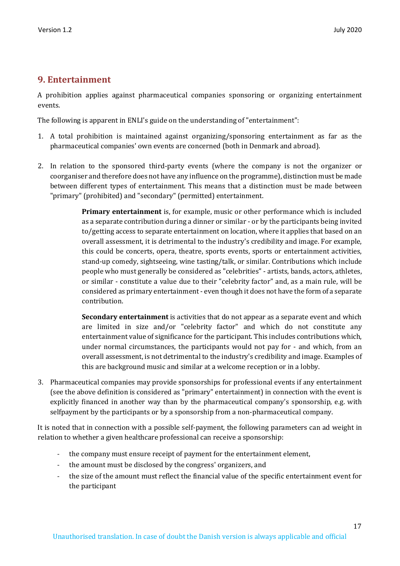# **9. Entertainment**

A prohibition applies against pharmaceutical companies sponsoring or organizing entertainment events.

The following is apparent in ENLI's guide on the understanding of "entertainment":

- 1. A total prohibition is maintained against organizing/sponsoring entertainment as far as the pharmaceutical companies' own events are concerned (both in Denmark and abroad).
- 2. In relation to the sponsored third-party events (where the company is not the organizer or coorganiser and therefore does not have any influence on the programme), distinction must be made between different types of entertainment. This means that a distinction must be made between "primary" (prohibited) and "secondary" (permitted) entertainment.

**Primary entertainment** is, for example, music or other performance which is included as a separate contribution during a dinner or similar - or by the participants being invited to/getting access to separate entertainment on location, where it applies that based on an overall assessment, it is detrimental to the industry's credibility and image. For example, this could be concerts, opera, theatre, sports events, sports or entertainment activities, stand-up comedy, sightseeing, wine tasting/talk, or similar. Contributions which include people who must generally be considered as "celebrities" - artists, bands, actors, athletes, or similar - constitute a value due to their "celebrity factor" and, as a main rule, will be considered as primary entertainment - even though it does not have the form of a separate contribution.

**Secondary entertainment** is activities that do not appear as a separate event and which are limited in size and/or "celebrity factor" and which do not constitute any entertainment value of significance for the participant. This includes contributions which, under normal circumstances, the participants would not pay for - and which, from an overall assessment, is not detrimental to the industry's credibility and image. Examples of this are background music and similar at a welcome reception or in a lobby.

3. Pharmaceutical companies may provide sponsorships for professional events if any entertainment (see the above definition is considered as "primary" entertainment) in connection with the event is explicitly financed in another way than by the pharmaceutical company's sponsorship, e.g. with selfpayment by the participants or by a sponsorship from a non-pharmaceutical company.

It is noted that in connection with a possible self-payment, the following parameters can ad weight in relation to whether a given healthcare professional can receive a sponsorship:

- the company must ensure receipt of payment for the entertainment element,
- the amount must be disclosed by the congress' organizers, and
- the size of the amount must reflect the financial value of the specific entertainment event for the participant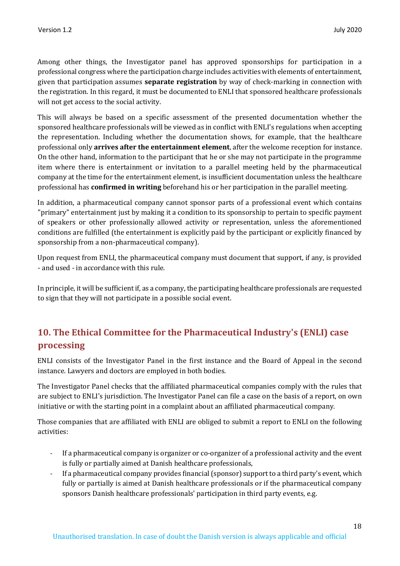Among other things, the Investigator panel has approved sponsorships for participation in a professional congress where the participation charge includes activities with elements of entertainment, given that participation assumes **separate registration** by way of check-marking in connection with the registration. In this regard, it must be documented to ENLI that sponsored healthcare professionals will not get access to the social activity.

This will always be based on a specific assessment of the presented documentation whether the sponsored healthcare professionals will be viewed as in conflict with ENLI's regulations when accepting the representation. Including whether the documentation shows, for example, that the healthcare professional only **arrives after the entertainment element**, after the welcome reception for instance. On the other hand, information to the participant that he or she may not participate in the programme item where there is entertainment or invitation to a parallel meeting held by the pharmaceutical company at the time for the entertainment element, is insufficient documentation unless the healthcare professional has **confirmed in writing** beforehand his or her participation in the parallel meeting.

In addition, a pharmaceutical company cannot sponsor parts of a professional event which contains "primary" entertainment just by making it a condition to its sponsorship to pertain to specific payment of speakers or other professionally allowed activity or representation, unless the aforementioned conditions are fulfilled (the entertainment is explicitly paid by the participant or explicitly financed by sponsorship from a non-pharmaceutical company).

Upon request from ENLI, the pharmaceutical company must document that support, if any, is provided - and used - in accordance with this rule.

In principle, it will be sufficient if, as a company, the participating healthcare professionals are requested to sign that they will not participate in a possible social event.

# **10. The Ethical Committee for the Pharmaceutical Industry's (ENLI) case processing**

ENLI consists of the Investigator Panel in the first instance and the Board of Appeal in the second instance. Lawyers and doctors are employed in both bodies.

The Investigator Panel checks that the affiliated pharmaceutical companies comply with the rules that are subject to ENLI's jurisdiction. The Investigator Panel can file a case on the basis of a report, on own initiative or with the starting point in a complaint about an affiliated pharmaceutical company.

Those companies that are affiliated with ENLI are obliged to submit a report to ENLI on the following activities:

- If a pharmaceutical company is organizer or co-organizer of a professional activity and the event is fully or partially aimed at Danish healthcare professionals,
- If a pharmaceutical company provides financial (sponsor) support to a third party's event, which fully or partially is aimed at Danish healthcare professionals or if the pharmaceutical company sponsors Danish healthcare professionals' participation in third party events, e.g.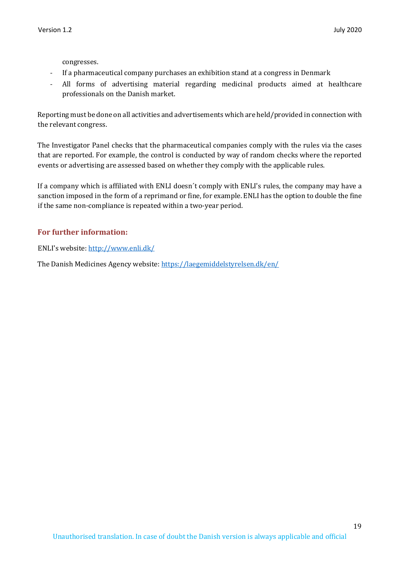congresses.

- If a pharmaceutical company purchases an exhibition stand at a congress in Denmark
- All forms of advertising material regarding medicinal products aimed at healthcare professionals on the Danish market.

Reporting must be done on all activities and advertisements which are held/provided in connection with the relevant congress.

The Investigator Panel checks that the pharmaceutical companies comply with the rules via the cases that are reported. For example, the control is conducted by way of random checks where the reported events or advertising are assessed based on whether they comply with the applicable rules.

If a company which is affiliated with ENLI doesn´t comply with ENLI's rules, the company may have a sanction imposed in the form of a reprimand or fine, for example. ENLI has the option to double the fine if the same non-compliance is repeated within a two-year period.

# **For further information:**

ENLI's website:<http://www.enli.dk/>

The Danish Medicines Agency website: <https://laegemiddelstyrelsen.dk/en/>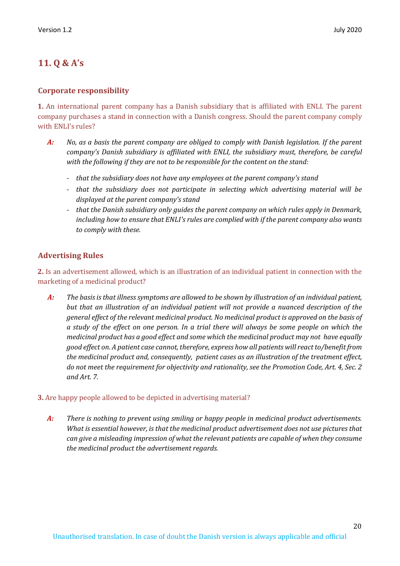# **11. Q & A's**

## **Corporate responsibility**

**1.** An international parent company has a Danish subsidiary that is affiliated with ENLI. The parent company purchases a stand in connection with a Danish congress. Should the parent company comply with ENLI's rules?

- *A: No, as a basis the parent company are obliged to comply with Danish legislation. If the parent company's Danish subsidiary is affiliated with ENLI, the subsidiary must, therefore, be careful with the following if they are not to be responsible for the content on the stand:* 
	- *that the subsidiary does not have any employees at the parent company's stand*
	- *that the subsidiary does not participate in selecting which advertising material will be displayed at the parent company's stand*
	- *that the Danish subsidiary only guides the parent company on which rules apply in Denmark, including how to ensure that ENLI's rules are complied with if the parent company also wants to comply with these.*

# **Advertising Rules**

**2.** Is an advertisement allowed, which is an illustration of an individual patient in connection with the marketing of a medicinal product?

*A: The basis is that illness symptoms are allowed to be shown by illustration of an individual patient, but that an illustration of an individual patient will not provide a nuanced description of the general effect of the relevant medicinal product. No medicinal product is approved on the basis of a study of the effect on one person. In a trial there will always be some people on which the medicinal product has a good effect and some which the medicinal product may not have equally good effect on. A patient case cannot, therefore, express how all patients will react to/benefit from the medicinal product and, consequently, patient cases as an illustration of the treatment effect, do not meet the requirement for objectivity and rationality, see the Promotion Code, Art. 4, Sec. 2 and Art. 7.*

## **3.** Are happy people allowed to be depicted in advertising material?

*A: There is nothing to prevent using smiling or happy people in medicinal product advertisements. What is essential however, is that the medicinal product advertisement does not use pictures that can give a misleading impression of what the relevant patients are capable of when they consume the medicinal product the advertisement regards.*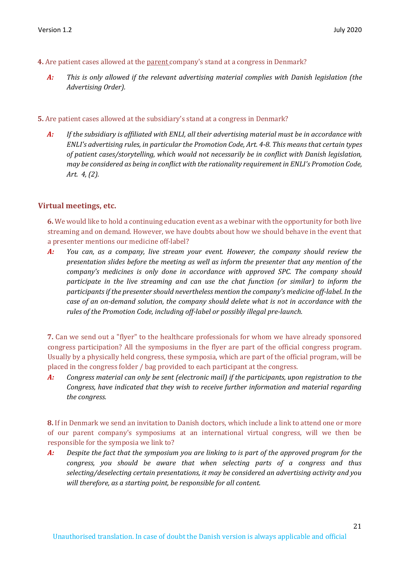- **4.** Are patient cases allowed at the parent company's stand at a congress in Denmark?
	- *A: This is only allowed if the relevant advertising material complies with Danish legislation (the Advertising Order).*

**5.** Are patient cases allowed at the subsidiary's stand at a congress in Denmark?

*A: If the subsidiary is affiliated with ENLI, all their advertising material must be in accordance with ENLI's advertising rules, in particular the Promotion Code, Art. 4-8. This means that certain types of patient cases/storytelling, which would not necessarily be in conflict with Danish legislation, may be considered as being in conflict with the rationality requirement in ENLI's Promotion Code, Art. 4, (2).*

#### **Virtual meetings, etc.**

**6.** We would like to hold a continuing education event as a webinar with the opportunity for both live streaming and on demand. However, we have doubts about how we should behave in the event that a presenter mentions our medicine off-label?

*A: You can, as a company, live stream your event. However, the company should review the presentation slides before the meeting as well as inform the presenter that any mention of the company's medicines is only done in accordance with approved SPC. The company should participate in the live streaming and can use the chat function (or similar) to inform the participants if the presenter should nevertheless mention the company's medicine off-label. In the case of an on-demand solution, the company should delete what is not in accordance with the rules of the Promotion Code, including off-label or possibly illegal pre-launch.*

**7.** Can we send out a "flyer" to the healthcare professionals for whom we have already sponsored congress participation? All the symposiums in the flyer are part of the official congress program. Usually by a physically held congress, these symposia, which are part of the official program, will be placed in the congress folder / bag provided to each participant at the congress.

*A: Congress material can only be sent (electronic mail) if the participants, upon registration to the Congress, have indicated that they wish to receive further information and material regarding the congress.* 

**8.** If in Denmark we send an invitation to Danish doctors, which include a link to attend one or more of our parent company's symposiums at an international virtual congress, will we then be responsible for the symposia we link to?

*A: Despite the fact that the symposium you are linking to is part of the approved program for the congress, you should be aware that when selecting parts of a congress and thus selecting/deselecting certain presentations, it may be considered an advertising activity and you will therefore, as a starting point, be responsible for all content.*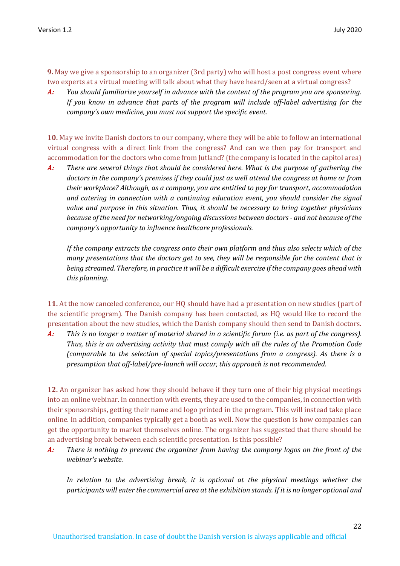**9.** May we give a sponsorship to an organizer (3rd party) who will host a post congress event where two experts at a virtual meeting will talk about what they have heard/seen at a virtual congress?

*A: You should familiarize yourself in advance with the content of the program you are sponsoring. If you know in advance that parts of the program will include off-label advertising for the company's own medicine, you must not support the specific event.*

**10.** May we invite Danish doctors to our company, where they will be able to follow an international virtual congress with a direct link from the congress? And can we then pay for transport and accommodation for the doctors who come from Jutland? (the company is located in the capitol area)

*A: There are several things that should be considered here. What is the purpose of gathering the doctors in the company's premises if they could just as well attend the congress at home or from their workplace? Although, as a company, you are entitled to pay for transport, accommodation and catering in connection with a continuing education event, you should consider the signal value and purpose in this situation. Thus, it should be necessary to bring together physicians because of the need for networking/ongoing discussions between doctors - and not because of the company's opportunity to influence healthcare professionals.*

*If the company extracts the congress onto their own platform and thus also selects which of the many presentations that the doctors get to see, they will be responsible for the content that is being streamed. Therefore, in practice it will be a difficult exercise if the company goes ahead with this planning.*

**11.** At the now canceled conference, our HQ should have had a presentation on new studies (part of the scientific program). The Danish company has been contacted, as HQ would like to record the presentation about the new studies, which the Danish company should then send to Danish doctors.

*A: This is no longer a matter of material shared in a scientific forum (i.e. as part of the congress). Thus, this is an advertising activity that must comply with all the rules of the Promotion Code (comparable to the selection of special topics/presentations from a congress). As there is a presumption that off-label/pre-launch will occur, this approach is not recommended.* 

**12.** An organizer has asked how they should behave if they turn one of their big physical meetings into an online webinar. In connection with events, they are used to the companies, in connection with their sponsorships, getting their name and logo printed in the program. This will instead take place online. In addition, companies typically get a booth as well. Now the question is how companies can get the opportunity to market themselves online. The organizer has suggested that there should be an advertising break between each scientific presentation. Is this possible?

*A: There is nothing to prevent the organizer from having the company logos on the front of the webinar's website.*

In relation to the advertising break, it is optional at the physical meetings whether the *participants will enter the commercial area at the exhibition stands. If it is no longer optional and*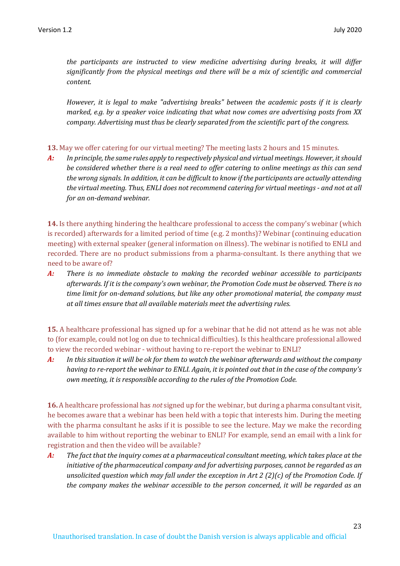*the participants are instructed to view medicine advertising during breaks, it will differ significantly from the physical meetings and there will be a mix of scientific and commercial content.*

*However, it is legal to make "advertising breaks" between the academic posts if it is clearly marked, e.g. by a speaker voice indicating that what now comes are advertising posts from XX company. Advertising must thus be clearly separated from the scientific part of the congress.*

**13.** May we offer catering for our virtual meeting? The meeting lasts 2 hours and 15 minutes.

*A: In principle, the same rules apply to respectively physical and virtual meetings. However, it should be considered whether there is a real need to offer catering to online meetings as this can send the wrong signals. In addition, it can be difficult to know if the participants are actually attending the virtual meeting. Thus, ENLI does not recommend catering for virtual meetings - and not at all for an on-demand webinar.*

**14.** Is there anything hindering the healthcare professional to access the company's webinar (which is recorded) afterwards for a limited period of time (e.g. 2 months)? Webinar (continuing education meeting) with external speaker (general information on illness). The webinar is notified to ENLI and recorded. There are no product submissions from a pharma-consultant. Is there anything that we need to be aware of?

*A: There is no immediate obstacle to making the recorded webinar accessible to participants afterwards. If it is the company's own webinar, the Promotion Code must be observed. There is no time limit for on-demand solutions, but like any other promotional material, the company must at all times ensure that all available materials meet the advertising rules.*

**15.** A healthcare professional has signed up for a webinar that he did not attend as he was not able to (for example, could not log on due to technical difficulties). Is this healthcare professional allowed to view the recorded webinar - without having to re-report the webinar to ENLI?

*A: In this situation it will be ok for them to watch the webinar afterwards and without the company having to re-report the webinar to ENLI. Again, it is pointed out that in the case of the company's own meeting, it is responsible according to the rules of the Promotion Code.*

**16.** A healthcare professional has *not* signed up for the webinar, but during a pharma consultant visit, he becomes aware that a webinar has been held with a topic that interests him. During the meeting with the pharma consultant he asks if it is possible to see the lecture. May we make the recording available to him without reporting the webinar to ENLI? For example, send an email with a link for registration and then the video will be available?

*A: The fact that the inquiry comes at a pharmaceutical consultant meeting, which takes place at the initiative of the pharmaceutical company and for advertising purposes, cannot be regarded as an unsolicited question which may fall under the exception in Art 2 (2)(c) of the Promotion Code. If the company makes the webinar accessible to the person concerned, it will be regarded as an*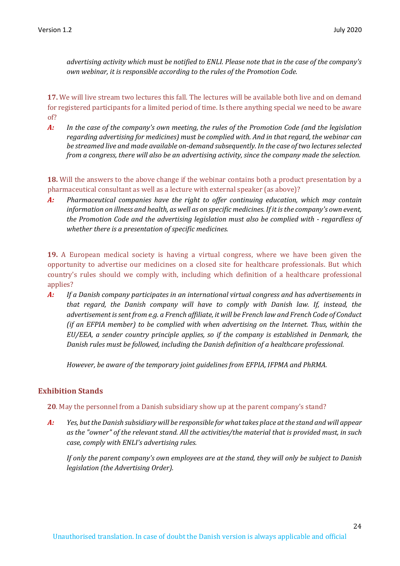*advertising activity which must be notified to ENLI. Please note that in the case of the company's own webinar, it is responsible according to the rules of the Promotion Code.*

**17.** We will live stream two lectures this fall. The lectures will be available both live and on demand for registered participants for a limited period of time. Is there anything special we need to be aware of?

*A: In the case of the company's own meeting, the rules of the Promotion Code (and the legislation regarding advertising for medicines) must be complied with. And in that regard, the webinar can be streamed live and made available on-demand subsequently. In the case of two lectures selected from a congress, there will also be an advertising activity, since the company made the selection.*

**18.** Will the answers to the above change if the webinar contains both a product presentation by a pharmaceutical consultant as well as a lecture with external speaker (as above)?

*A: Pharmaceutical companies have the right to offer continuing education, which may contain information on illness and health, as well as on specific medicines. If it is the company's own event, the Promotion Code and the advertising legislation must also be complied with - regardless of whether there is a presentation of specific medicines.*

**19.** A European medical society is having a virtual congress, where we have been given the opportunity to advertise our medicines on a closed site for healthcare professionals. But which country's rules should we comply with, including which definition of a healthcare professional applies?

*A: If a Danish company participates in an international virtual congress and has advertisements in that regard, the Danish company will have to comply with Danish law. If, instead, the advertisement is sent from e.g. a French affiliate, it will be French law and French Code of Conduct (if an EFPIA member) to be complied with when advertising on the Internet. Thus, within the EU/EEA, a sender country principle applies, so if the company is established in Denmark, the Danish rules must be followed, including the Danish definition of a healthcare professional.*

*However, be aware of the temporary joint guidelines from EFPIA, IFPMA and PhRMA.*

## **Exhibition Stands**

**20**. May the personnel from a Danish subsidiary show up at the parent company's stand?

*A: Yes, but the Danish subsidiary will be responsible for what takes place at the stand and will appear as the "owner" of the relevant stand. All the activities/the material that is provided must, in such case, comply with ENLI's advertising rules.* 

*If only the parent company's own employees are at the stand, they will only be subject to Danish legislation (the Advertising Order).*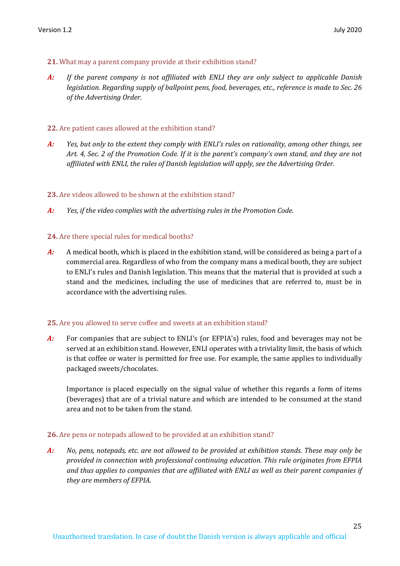#### **21.** What may a parent company provide at their exhibition stand?

*A: If the parent company is not affiliated with ENLI they are only subject to applicable Danish legislation. Regarding supply of ballpoint pens, food, beverages, etc., reference is made to Sec. 26 of the Advertising Order.* 

#### **22.** Are patient cases allowed at the exhibition stand?

*A: Yes, but only to the extent they comply with ENLI's rules on rationality, among other things, see Art. 4, Sec. 2 of the Promotion Code. If it is the parent's company's own stand, and they are not affiliated with ENLI, the rules of Danish legislation will apply, see the Advertising Order.* 

#### **23.** Are videos allowed to be shown at the exhibition stand?

*A: Yes, if the video complies with the advertising rules in the Promotion Code.* 

#### **24.** Are there special rules for medical booths?

*A:* A medical booth, which is placed in the exhibition stand, will be considered as being a part of a commercial area. Regardless of who from the company mans a medical booth, they are subject to ENLI's rules and Danish legislation. This means that the material that is provided at such a stand and the medicines, including the use of medicines that are referred to, must be in accordance with the advertising rules.

#### **25.** Are you allowed to serve coffee and sweets at an exhibition stand?

*A:* For companies that are subject to ENLI's (or EFPIA's) rules, food and beverages may not be served at an exhibition stand. However, ENLI operates with a triviality limit, the basis of which is that coffee or water is permitted for free use. For example, the same applies to individually packaged sweets/chocolates.

Importance is placed especially on the signal value of whether this regards a form of items (beverages) that are of a trivial nature and which are intended to be consumed at the stand area and not to be taken from the stand.

#### **26.** Are pens or notepads allowed to be provided at an exhibition stand?

*A: No, pens, notepads, etc. are not allowed to be provided at exhibition stands. These may only be provided in connection with professional continuing education. This rule originates from EFPIA and thus applies to companies that are affiliated with ENLI as well as their parent companies if they are members of EFPIA.*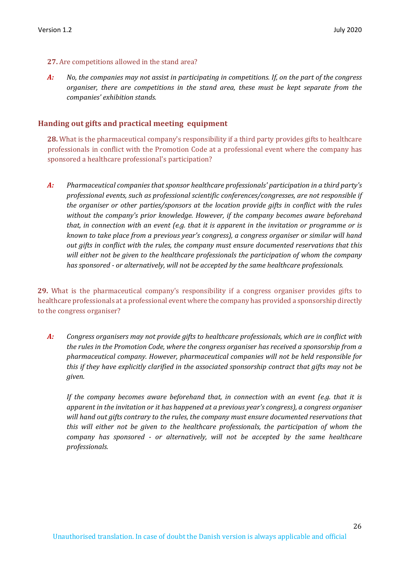#### **27.** Are competitions allowed in the stand area?

*A: No, the companies may not assist in participating in competitions. If, on the part of the congress organiser, there are competitions in the stand area, these must be kept separate from the companies' exhibition stands.*

#### **Handing out gifts and practical meeting equipment**

**28.** What is the pharmaceutical company's responsibility if a third party provides gifts to healthcare professionals in conflict with the Promotion Code at a professional event where the company has sponsored a healthcare professional's participation?

*A: Pharmaceutical companies that sponsor healthcare professionals' participation in a third party's professional events, such as professional scientific conferences/congresses, are not responsible if the organiser or other parties/sponsors at the location provide gifts in conflict with the rules without the company's prior knowledge. However, if the company becomes aware beforehand that, in connection with an event (e.g. that it is apparent in the invitation or programme or is known to take place from a previous year's congress), a congress organiser or similar will hand out gifts in conflict with the rules, the company must ensure documented reservations that this will either not be given to the healthcare professionals the participation of whom the company has sponsored - or alternatively, will not be accepted by the same healthcare professionals.* 

**29.** What is the pharmaceutical company's responsibility if a congress organiser provides gifts to healthcare professionals at a professional event where the company has provided a sponsorship directly to the congress organiser?

*A: Congress organisers may not provide gifts to healthcare professionals, which are in conflict with the rules in the Promotion Code, where the congress organiser has received a sponsorship from a pharmaceutical company. However, pharmaceutical companies will not be held responsible for this if they have explicitly clarified in the associated sponsorship contract that gifts may not be given.* 

*If the company becomes aware beforehand that, in connection with an event (e.g. that it is apparent in the invitation or it has happened at a previous year's congress), a congress organiser will hand out gifts contrary to the rules, the company must ensure documented reservations that this will either not be given to the healthcare professionals, the participation of whom the company has sponsored - or alternatively, will not be accepted by the same healthcare professionals.*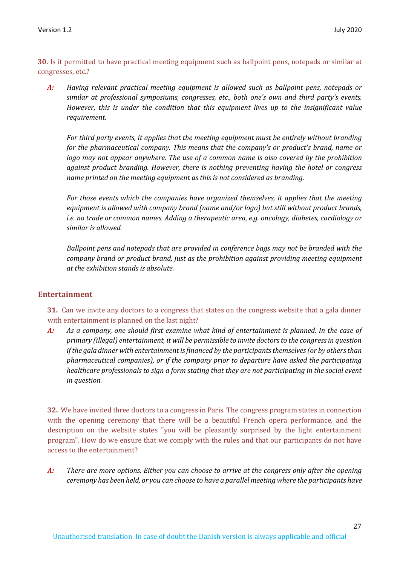**30.** Is it permitted to have practical meeting equipment such as ballpoint pens, notepads or similar at congresses, etc.?

*A: Having relevant practical meeting equipment is allowed such as ballpoint pens, notepads or similar at professional symposiums, congresses, etc., both one's own and third party's events. However, this is under the condition that this equipment lives up to the insignificant value requirement.* 

*For third party events, it applies that the meeting equipment must be entirely without branding for the pharmaceutical company. This means that the company's or product's brand, name or logo may not appear anywhere. The use of a common name is also covered by the prohibition against product branding. However, there is nothing preventing having the hotel or congress name printed on the meeting equipment as this is not considered as branding.* 

*For those events which the companies have organized themselves, it applies that the meeting equipment is allowed with company brand (name and/or logo) but still without product brands, i.e. no trade or common names. Adding a therapeutic area, e.g. oncology, diabetes, cardiology or similar is allowed.* 

*Ballpoint pens and notepads that are provided in conference bags may not be branded with the company brand or product brand, just as the prohibition against providing meeting equipment at the exhibition stands is absolute.* 

## **Entertainment**

**31.** Can we invite any doctors to a congress that states on the congress website that a gala dinner with entertainment is planned on the last night?

*A: As a company, one should first examine what kind of entertainment is planned. In the case of primary (illegal) entertainment, it will be permissible to invite doctors to the congress in question if the gala dinner with entertainment is financed by the participants themselves (or by others than pharmaceutical companies), or if the company prior to departure have asked the participating healthcare professionals to sign a form stating that they are not participating in the social event in question.*

**32.** We have invited three doctors to a congress in Paris. The congress program states in connection with the opening ceremony that there will be a beautiful French opera performance, and the description on the website states "you will be pleasantly surprised by the light entertainment program". How do we ensure that we comply with the rules and that our participants do not have access to the entertainment?

*A: There are more options. Either you can choose to arrive at the congress only after the opening ceremony has been held, or you can choose to have a parallel meeting where the participants have*